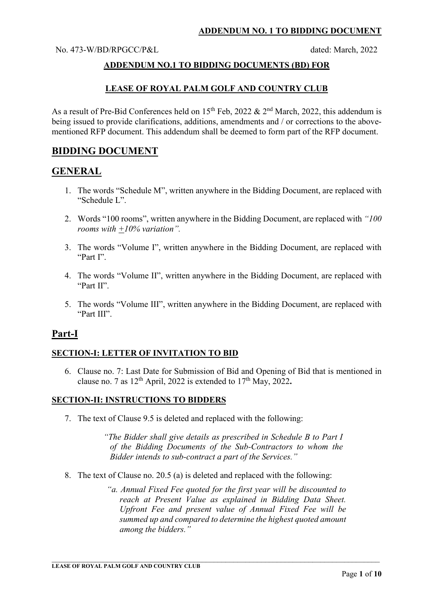No. 473-W/BD/RPGCC/P&L dated: March, 2022

## **ADDENDUM NO.1 TO BIDDING DOCUMENTS (BD) FOR**

## **LEASE OF ROYAL PALM GOLF AND COUNTRY CLUB**

As a result of Pre-Bid Conferences held on  $15<sup>th</sup>$  Feb, 2022 &  $2<sup>nd</sup>$  March, 2022, this addendum is being issued to provide clarifications, additions, amendments and / or corrections to the abovementioned RFP document. This addendum shall be deemed to form part of the RFP document.

# **BIDDING DOCUMENT**

# **GENERAL**

- 1. The words "Schedule M", written anywhere in the Bidding Document, are replaced with "Schedule L".
- 2. Words "100 rooms", written anywhere in the Bidding Document, are replaced with *"100 rooms with +10% variation".*
- 3. The words "Volume I", written anywhere in the Bidding Document, are replaced with "Part I".
- 4. The words "Volume II", written anywhere in the Bidding Document, are replaced with "Part II".
- 5. The words "Volume III", written anywhere in the Bidding Document, are replaced with "Part III".

# **Part-I**

#### **SECTION-I: LETTER OF INVITATION TO BID**

6. Clause no. 7: Last Date for Submission of Bid and Opening of Bid that is mentioned in clause no. 7 as  $12<sup>th</sup>$  April, 2022 is extended to  $17<sup>th</sup>$  May, 2022.

#### **SECTION-II: INSTRUCTIONS TO BIDDERS**

7. The text of Clause 9.5 is deleted and replaced with the following:

*"The Bidder shall give details as prescribed in Schedule B to Part I of the Bidding Documents of the Sub-Contractors to whom the Bidder intends to sub-contract a part of the Services."* 

8. The text of Clause no. 20.5 (a) is deleted and replaced with the following:

*"a. Annual Fixed Fee quoted for the first year will be discounted to reach at Present Value as explained in Bidding Data Sheet. Upfront Fee and present value of Annual Fixed Fee will be summed up and compared to determine the highest quoted amount among the bidders."* 

 $\_$  , and the set of the set of the set of the set of the set of the set of the set of the set of the set of the set of the set of the set of the set of the set of the set of the set of the set of the set of the set of th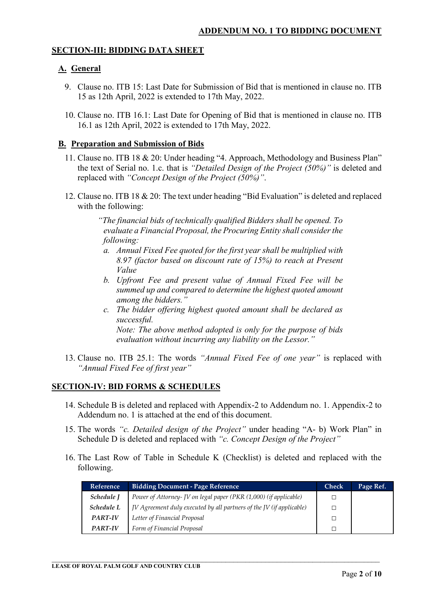## **SECTION-III: BIDDING DATA SHEET**

## **A. General**

- 9. Clause no. ITB 15: Last Date for Submission of Bid that is mentioned in clause no. ITB 15 as 12th April, 2022 is extended to 17th May, 2022.
- 10. Clause no. ITB 16.1: Last Date for Opening of Bid that is mentioned in clause no. ITB 16.1 as 12th April, 2022 is extended to 17th May, 2022.

#### **B. Preparation and Submission of Bids**

- 11. Clause no. ITB 18 & 20: Under heading "4. Approach, Methodology and Business Plan" the text of Serial no. 1.c. that is *"Detailed Design of the Project (50%)"* is deleted and replaced with *"Concept Design of the Project (50%)"*.
- 12. Clause no. ITB 18 & 20: The text under heading "Bid Evaluation" is deleted and replaced with the following:

*"The financial bids of technically qualified Bidders shall be opened. To evaluate a Financial Proposal, the Procuring Entity shall consider the following:* 

- *a. Annual Fixed Fee quoted for the first year shall be multiplied with 8.97 (factor based on discount rate of 15%) to reach at Present Value*
- *b. Upfront Fee and present value of Annual Fixed Fee will be summed up and compared to determine the highest quoted amount among the bidders."*
- *c. The bidder offering highest quoted amount shall be declared as successful. Note: The above method adopted is only for the purpose of bids*

*evaluation without incurring any liability on the Lessor."* 

13. Clause no. ITB 25.1: The words *"Annual Fixed Fee of one year"* is replaced with *"Annual Fixed Fee of first year"*

#### **SECTION-IV: BID FORMS & SCHEDULES**

- 14. Schedule B is deleted and replaced with Appendix-2 to Addendum no. 1. Appendix-2 to Addendum no. 1 is attached at the end of this document.
- 15. The words *"c. Detailed design of the Project"* under heading "A- b) Work Plan" in Schedule D is deleted and replaced with *"c. Concept Design of the Project"*
- 16. The Last Row of Table in Schedule K (Checklist) is deleted and replaced with the following.

 $\_$  , and the set of the set of the set of the set of the set of the set of the set of the set of the set of the set of the set of the set of the set of the set of the set of the set of the set of the set of the set of th

| <b>Reference</b> | <b>Bidding Document - Page Reference</b>                             |  | Page Ref. |
|------------------|----------------------------------------------------------------------|--|-----------|
| Schedule J       | Power of Attorney- JV on legal paper (PKR (1,000) (if applicable)    |  |           |
| Schedule L       | JV Agreement duly executed by all partners of the JV (if applicable) |  |           |
| <b>PART-IV</b>   | Letter of Financial Proposal                                         |  |           |
| <b>PART-IV</b>   | Form of Financial Proposal                                           |  |           |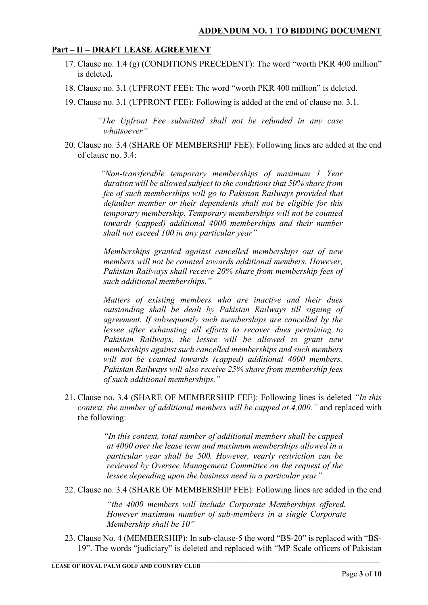# **Part – II – DRAFT LEASE AGREEMENT**

- 17. Clause no. 1.4 (g) (CONDITIONS PRECEDENT): The word "worth PKR 400 million" is deleted**.**
- 18. Clause no. 3.1 (UPFRONT FEE): The word "worth PKR 400 million" is deleted.
- 19. Clause no. 3.1 (UPFRONT FEE): Following is added at the end of clause no. 3.1.

*"The Upfront Fee submitted shall not be refunded in any case whatsoever"* 

20. Clause no. 3.4 (SHARE OF MEMBERSHIP FEE): Following lines are added at the end of clause no. 3.4:

> *"Non-transferable temporary memberships of maximum 1 Year duration will be allowed subject to the conditions that 50% share from fee of such memberships will go to Pakistan Railways provided that defaulter member or their dependents shall not be eligible for this temporary membership. Temporary memberships will not be counted towards (capped) additional 4000 memberships and their number shall not exceed 100 in any particular year"*

> *Memberships granted against cancelled memberships out of new members will not be counted towards additional members. However, Pakistan Railways shall receive 20% share from membership fees of such additional memberships."*

> *Matters of existing members who are inactive and their dues outstanding shall be dealt by Pakistan Railways till signing of agreement. If subsequently such memberships are cancelled by the lessee after exhausting all efforts to recover dues pertaining to Pakistan Railways, the lessee will be allowed to grant new memberships against such cancelled memberships and such members will not be counted towards (capped) additional 4000 members. Pakistan Railways will also receive 25% share from membership fees of such additional memberships."*

21. Clause no. 3.4 (SHARE OF MEMBERSHIP FEE): Following lines is deleted *"In this context, the number of additional members will be capped at 4,000."* and replaced with the following:

> *"In this context, total number of additional members shall be capped at 4000 over the lease term and maximum memberships allowed in a particular year shall be 500. However, yearly restriction can be reviewed by Oversee Management Committee on the request of the lessee depending upon the business need in a particular year"*

22. Clause no. 3.4 (SHARE OF MEMBERSHIP FEE): Following lines are added in the end

*"the 4000 members will include Corporate Memberships offered. However maximum number of sub-members in a single Corporate Membership shall be 10"* 

23. Clause No. 4 (MEMBERSHIP): In sub-clause-5 the word "BS-20" is replaced with "BS-19". The words "judiciary" is deleted and replaced with "MP Scale officers of Pakistan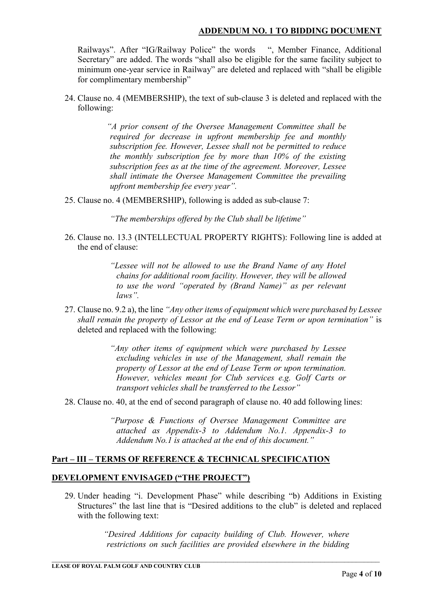Railways". After "IG/Railway Police" the words ", Member Finance, Additional Secretary" are added. The words "shall also be eligible for the same facility subject to minimum one-year service in Railway" are deleted and replaced with "shall be eligible for complimentary membership"

24. Clause no. 4 (MEMBERSHIP), the text of sub-clause 3 is deleted and replaced with the following:

> *"A prior consent of the Oversee Management Committee shall be required for decrease in upfront membership fee and monthly subscription fee. However, Lessee shall not be permitted to reduce the monthly subscription fee by more than 10% of the existing subscription fees as at the time of the agreement. Moreover, Lessee shall intimate the Oversee Management Committee the prevailing upfront membership fee every year".*

25. Clause no. 4 (MEMBERSHIP), following is added as sub-clause 7:

*"The memberships offered by the Club shall be lifetime"* 

26. Clause no. 13.3 (INTELLECTUAL PROPERTY RIGHTS): Following line is added at the end of clause:

> *"Lessee will not be allowed to use the Brand Name of any Hotel chains for additional room facility. However, they will be allowed to use the word "operated by (Brand Name)" as per relevant laws".*

27. Clause no. 9.2 a), the line *"Any other items of equipment which were purchased by Lessee shall remain the property of Lessor at the end of Lease Term or upon termination"* is deleted and replaced with the following:

> *"Any other items of equipment which were purchased by Lessee excluding vehicles in use of the Management, shall remain the property of Lessor at the end of Lease Term or upon termination. However, vehicles meant for Club services e.g. Golf Carts or transport vehicles shall be transferred to the Lessor"*

28. Clause no. 40, at the end of second paragraph of clause no. 40 add following lines:

*"Purpose & Functions of Oversee Management Committee are attached as Appendix-3 to Addendum No.1. Appendix-3 to Addendum No.1 is attached at the end of this document."*

# **Part – III – TERMS OF REFERENCE & TECHNICAL SPECIFICATION**

### **DEVELOPMENT ENVISAGED ("THE PROJECT")**

29. Under heading "i. Development Phase" while describing "b) Additions in Existing Structures" the last line that is "Desired additions to the club" is deleted and replaced with the following text:

> *"Desired Additions for capacity building of Club. However, where restrictions on such facilities are provided elsewhere in the bidding*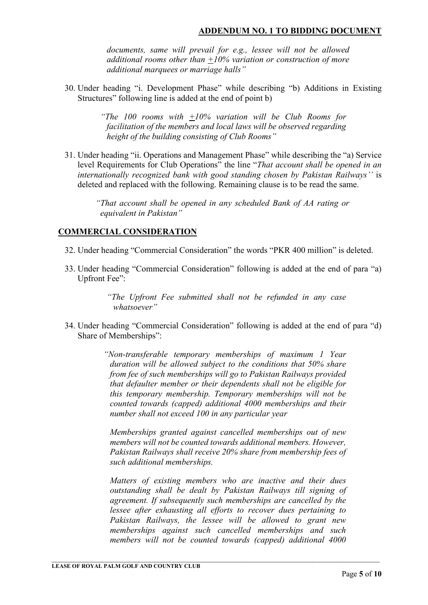*documents, same will prevail for e.g., lessee will not be allowed additional rooms other than +10% variation or construction of more additional marquees or marriage halls"* 

30. Under heading "i. Development Phase" while describing "b) Additions in Existing Structures" following line is added at the end of point b)

> *"The 100 rooms with +10% variation will be Club Rooms for facilitation of the members and local laws will be observed regarding height of the building consisting of Club Rooms"*

31. Under heading "ii. Operations and Management Phase" while describing the "a) Service level Requirements for Club Operations" the line "*That account shall be opened in an internationally recognized bank with good standing chosen by Pakistan Railways''* is deleted and replaced with the following. Remaining clause is to be read the same.

> *"That account shall be opened in any scheduled Bank of AA rating or equivalent in Pakistan"*

## **COMMERCIAL CONSIDERATION**

- 32. Under heading "Commercial Consideration" the words "PKR 400 million" is deleted.
- 33. Under heading "Commercial Consideration" following is added at the end of para "a) Upfront Fee":

*"The Upfront Fee submitted shall not be refunded in any case whatsoever"* 

34. Under heading "Commercial Consideration" following is added at the end of para "d) Share of Memberships":

> *"Non-transferable temporary memberships of maximum 1 Year duration will be allowed subject to the conditions that 50% share from fee of such memberships will go to Pakistan Railways provided that defaulter member or their dependents shall not be eligible for this temporary membership. Temporary memberships will not be counted towards (capped) additional 4000 memberships and their number shall not exceed 100 in any particular year*

*Memberships granted against cancelled memberships out of new members will not be counted towards additional members. However, Pakistan Railways shall receive 20% share from membership fees of such additional memberships.* 

*Matters of existing members who are inactive and their dues outstanding shall be dealt by Pakistan Railways till signing of agreement. If subsequently such memberships are cancelled by the lessee after exhausting all efforts to recover dues pertaining to Pakistan Railways, the lessee will be allowed to grant new memberships against such cancelled memberships and such members will not be counted towards (capped) additional 4000*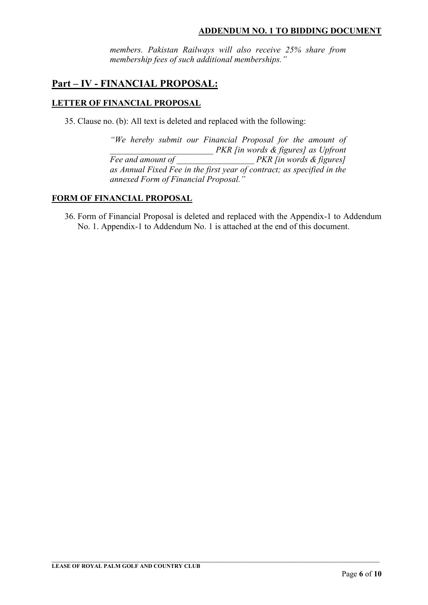*members. Pakistan Railways will also receive 25% share from membership fees of such additional memberships."* 

# **Part – IV - FINANCIAL PROPOSAL:**

## **LETTER OF FINANCIAL PROPOSAL**

35. Clause no. (b): All text is deleted and replaced with the following:

*"We hereby submit our Financial Proposal for the amount of \_\_\_\_\_\_\_\_\_\_\_\_\_\_\_\_\_\_\_\_\_\_\_\_ PKR [in words & figures] as Upfront Fee and amount of \_\_\_\_\_\_\_\_\_\_\_\_\_\_\_\_\_\_ PKR [in words & figures] as Annual Fixed Fee in the first year of contract; as specified in the annexed Form of Financial Proposal."* 

#### **FORM OF FINANCIAL PROPOSAL**

36. Form of Financial Proposal is deleted and replaced with the Appendix-1 to Addendum No. 1. Appendix-1 to Addendum No. 1 is attached at the end of this document.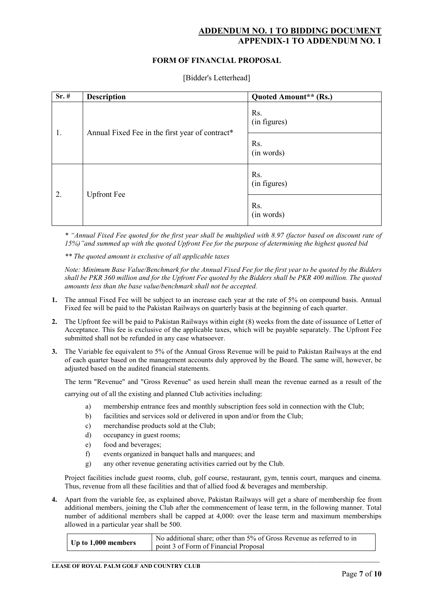## **ADDENDUM NO. 1 TO BIDDING DOCUMENT APPENDIX-1 TO ADDENDUM**

#### **FORM OF FINANCIAL PROPOSAL**

| $Sr.$ # | <b>Description</b>                              | Quoted Amount** (Rs.) |
|---------|-------------------------------------------------|-----------------------|
| 1.      | Annual Fixed Fee in the first year of contract* | Rs.<br>(in figures)   |
|         |                                                 | Rs.<br>(in words)     |
| 2.      | <b>Upfront Fee</b>                              | Rs.<br>(in figures)   |
|         |                                                 | Rs.<br>(in words)     |

*\* "Annual Fixed Fee quoted for the first year shall be multiplied with 8.97 (factor based on discount rate of 15%)"and summed up with the quoted Upfront Fee for the purpose of determining the highest quoted bid* 

*\*\* The quoted amount is exclusive of all applicable taxes* 

*Note: Minimum Base Value/Benchmark for the Annual Fixed Fee for the first year to be quoted by the Bidders shall be PKR 360 million and for the Upfront Fee quoted by the Bidders shall be PKR 400 million. The quoted amounts less than the base value/benchmark shall not be accepted.* 

- **1.** The annual Fixed Fee will be subject to an increase each year at the rate of 5% on compound basis. Annual Fixed fee will be paid to the Pakistan Railways on quarterly basis at the beginning of each quarter.
- **2.** The Upfront fee will be paid to Pakistan Railways within eight (8) weeks from the date of issuance of Letter of Acceptance. This fee is exclusive of the applicable taxes, which will be payable separately. The Upfront Fee submitted shall not be refunded in any case whatsoever.
- **3.** The Variable fee equivalent to 5% of the Annual Gross Revenue will be paid to Pakistan Railways at the end of each quarter based on the management accounts duly approved by the Board. The same will, however, be adjusted based on the audited financial statements.

The term "Revenue" and "Gross Revenue" as used herein shall mean the revenue earned as a result of the

carrying out of all the existing and planned Club activities including:

- a) membership entrance fees and monthly subscription fees sold in connection with the Club;
- b) facilities and services sold or delivered in upon and/or from the Club;
- c) merchandise products sold at the Club;
- d) occupancy in guest rooms;
- e) food and beverages;
- f) events organized in banquet halls and marquees; and
- g) any other revenue generating activities carried out by the Club.

Project facilities include guest rooms, club, golf course, restaurant, gym, tennis court, marques and cinema. Thus, revenue from all these facilities and that of allied food & beverages and membership.

**4.** Apart from the variable fee, as explained above, Pakistan Railways will get a share of membership fee from additional members, joining the Club after the commencement of lease term, in the following manner. Total number of additional members shall be capped at 4,000: over the lease term and maximum memberships allowed in a particular year shall be 500.

| No additional share; other than 5% of Gross Revenue as referred to in<br>Up to 1,000 members<br>point 3 of Form of Financial Proposal |  |
|---------------------------------------------------------------------------------------------------------------------------------------|--|
|---------------------------------------------------------------------------------------------------------------------------------------|--|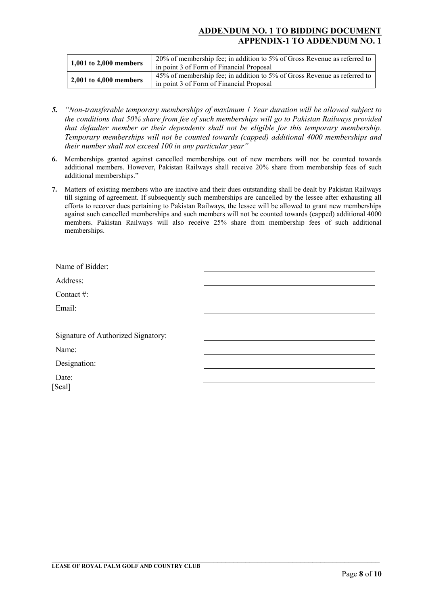## **ADDENDUM NO. 1 TO BIDDING DOCUMENT APPENDIX-1 TO ADDENDUM NO. 1**

| 1,001 to $2,000$ members | 20% of membership fee; in addition to 5% of Gross Revenue as referred to<br>in point 3 of Form of Financial Proposal |
|--------------------------|----------------------------------------------------------------------------------------------------------------------|
| 2,001 to 4,000 members   | 45% of membership fee; in addition to 5% of Gross Revenue as referred to<br>in point 3 of Form of Financial Proposal |

- *5. "Non-transferable temporary memberships of maximum 1 Year duration will be allowed subject to the conditions that 50% share from fee of such memberships will go to Pakistan Railways provided that defaulter member or their dependents shall not be eligible for this temporary membership. Temporary memberships will not be counted towards (capped) additional 4000 memberships and their number shall not exceed 100 in any particular year"*
- **6.** Memberships granted against cancelled memberships out of new members will not be counted towards additional members. However, Pakistan Railways shall receive 20% share from membership fees of such additional memberships."
- **7.** Matters of existing members who are inactive and their dues outstanding shall be dealt by Pakistan Railways till signing of agreement. If subsequently such memberships are cancelled by the lessee after exhausting all efforts to recover dues pertaining to Pakistan Railways, the lessee will be allowed to grant new memberships against such cancelled memberships and such members will not be counted towards (capped) additional 4000 members. Pakistan Railways will also receive 25% share from membership fees of such additional memberships.

| Name of Bidder:                    |  |
|------------------------------------|--|
| Address:                           |  |
| Contact #:                         |  |
| Email:                             |  |
|                                    |  |
| Signature of Authorized Signatory: |  |
| Name:                              |  |
| Designation:                       |  |
| Date:                              |  |
| [Seal]                             |  |
|                                    |  |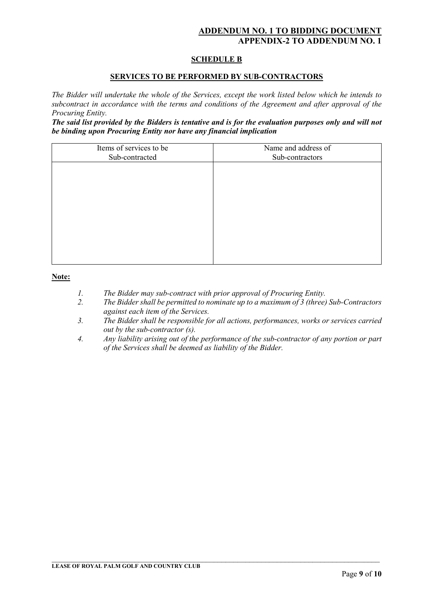# **ADDENDUM NO. 1 TO BIDDING DOCUMENT APPENDIX-2 TO ADDENDUM NO. 1**

#### **SCHEDULE B**

#### **SERVICES TO BE PERFORMED BY SUB-CONTRACTORS**

*The Bidder will undertake the whole of the Services, except the work listed below which he intends to subcontract in accordance with the terms and conditions of the Agreement and after approval of the Procuring Entity.* 

*The said list provided by the Bidders is tentative and is for the evaluation purposes only and will not be binding upon Procuring Entity nor have any financial implication* 

| Items of services to be<br>Sub-contracted | Name and address of<br>Sub-contractors |
|-------------------------------------------|----------------------------------------|
|                                           |                                        |
|                                           |                                        |
|                                           |                                        |
|                                           |                                        |
|                                           |                                        |
|                                           |                                        |

#### **Note:**

- *1. The Bidder may sub-contract with prior approval of Procuring Entity.*
- *2. The Bidder shall be permitted to nominate up to a maximum of 3 (three) Sub-Contractors against each item of the Services.*
- *3. The Bidder shall be responsible for all actions, performances, works or services carried out by the sub-contractor (s).*
- *4. Any liability arising out of the performance of the sub-contractor of any portion or part of the Services shall be deemed as liability of the Bidder.*